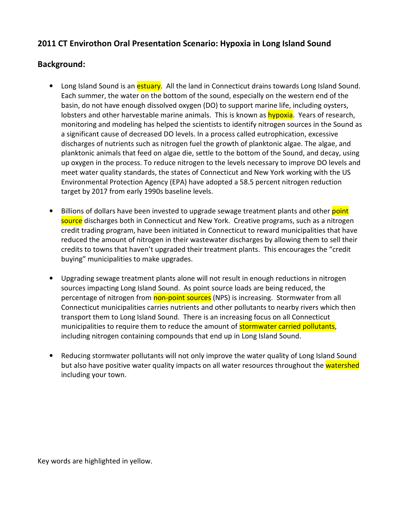## 2011 CT Envirothon Oral Presentation Scenario: Hypoxia in Long Island Sound

## Background:

- Long Island Sound is an *estuary*. All the land in Connecticut drains towards Long Island Sound. Each summer, the water on the bottom of the sound, especially on the western end of the basin, do not have enough dissolved oxygen (DO) to support marine life, including oysters, lobsters and other harvestable marine animals. This is known as **hypoxia**. Years of research, monitoring and modeling has helped the scientists to identify nitrogen sources in the Sound as a significant cause of decreased DO levels. In a process called eutrophication, excessive discharges of nutrients such as nitrogen fuel the growth of planktonic algae. The algae, and planktonic animals that feed on algae die, settle to the bottom of the Sound, and decay, using up oxygen in the process. To reduce nitrogen to the levels necessary to improve DO levels and meet water quality standards, the states of Connecticut and New York working with the US Environmental Protection Agency (EPA) have adopted a 58.5 percent nitrogen reduction target by 2017 from early 1990s baseline levels.
- Billions of dollars have been invested to upgrade sewage treatment plants and other point source discharges both in Connecticut and New York. Creative programs, such as a nitrogen credit trading program, have been initiated in Connecticut to reward municipalities that have reduced the amount of nitrogen in their wastewater discharges by allowing them to sell their credits to towns that haven't upgraded their treatment plants. This encourages the "credit buying" municipalities to make upgrades.
- Upgrading sewage treatment plants alone will not result in enough reductions in nitrogen sources impacting Long Island Sound. As point source loads are being reduced, the percentage of nitrogen from **non-point sources** (NPS) is increasing. Stormwater from all Connecticut municipalities carries nutrients and other pollutants to nearby rivers which then transport them to Long Island Sound. There is an increasing focus on all Connecticut municipalities to require them to reduce the amount of **stormwater carried pollutants**, including nitrogen containing compounds that end up in Long Island Sound.
- Reducing stormwater pollutants will not only improve the water quality of Long Island Sound but also have positive water quality impacts on all water resources throughout the watershed including your town.

Key words are highlighted in yellow.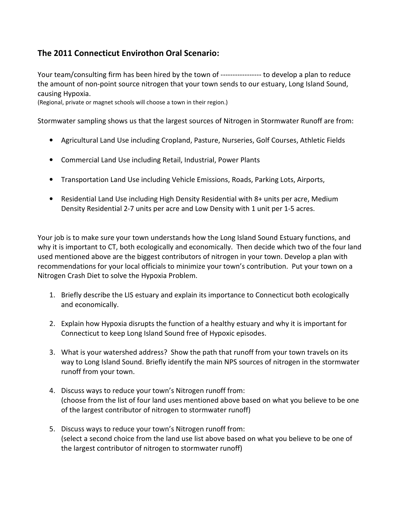## The 2011 Connecticut Envirothon Oral Scenario:

Your team/consulting firm has been hired by the town of ------------------ to develop a plan to reduce the amount of non-point source nitrogen that your town sends to our estuary, Long Island Sound, causing Hypoxia.

(Regional, private or magnet schools will choose a town in their region.)

Stormwater sampling shows us that the largest sources of Nitrogen in Stormwater Runoff are from:

- Agricultural Land Use including Cropland, Pasture, Nurseries, Golf Courses, Athletic Fields
- Commercial Land Use including Retail, Industrial, Power Plants
- Transportation Land Use including Vehicle Emissions, Roads, Parking Lots, Airports,
- Residential Land Use including High Density Residential with 8+ units per acre, Medium Density Residential 2-7 units per acre and Low Density with 1 unit per 1-5 acres.

Your job is to make sure your town understands how the Long Island Sound Estuary functions, and why it is important to CT, both ecologically and economically. Then decide which two of the four land used mentioned above are the biggest contributors of nitrogen in your town. Develop a plan with recommendations for your local officials to minimize your town's contribution. Put your town on a Nitrogen Crash Diet to solve the Hypoxia Problem.

- 1. Briefly describe the LIS estuary and explain its importance to Connecticut both ecologically and economically.
- 2. Explain how Hypoxia disrupts the function of a healthy estuary and why it is important for Connecticut to keep Long Island Sound free of Hypoxic episodes.
- 3. What is your watershed address? Show the path that runoff from your town travels on its way to Long Island Sound. Briefly identify the main NPS sources of nitrogen in the stormwater runoff from your town.
- 4. Discuss ways to reduce your town's Nitrogen runoff from: (choose from the list of four land uses mentioned above based on what you believe to be one of the largest contributor of nitrogen to stormwater runoff)
- 5. Discuss ways to reduce your town's Nitrogen runoff from: (select a second choice from the land use list above based on what you believe to be one of the largest contributor of nitrogen to stormwater runoff)